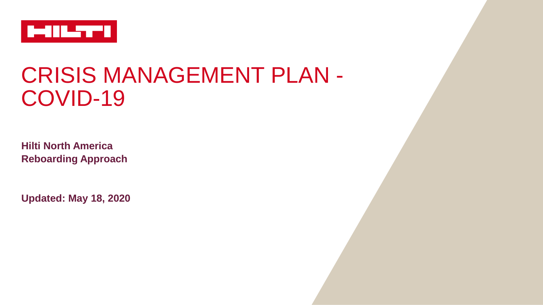

# CRISIS MANAGEMENT PLAN - COVID-19

**Hilti North America Reboarding Approach**

**Updated: May 18, 2020**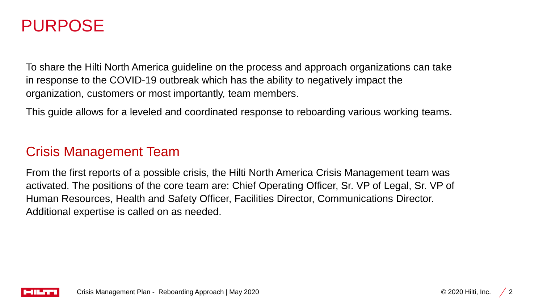## PURPOSE

To share the Hilti North America guideline on the process and approach organizations can take in response to the COVID-19 outbreak which has the ability to negatively impact the organization, customers or most importantly, team members.

This guide allows for a leveled and coordinated response to reboarding various working teams.

## Crisis Management Team

From the first reports of a possible crisis, the Hilti North America Crisis Management team was activated. The positions of the core team are: Chief Operating Officer, Sr. VP of Legal, Sr. VP of Human Resources, Health and Safety Officer, Facilities Director, Communications Director. Additional expertise is called on as needed.

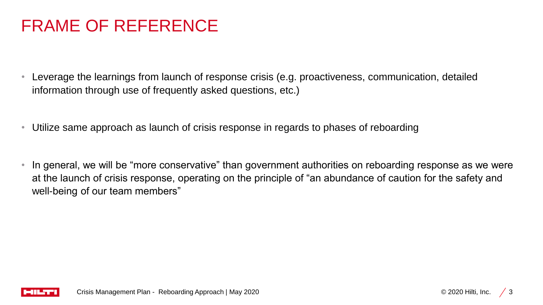# FRAME OF REFERENCE

- Leverage the learnings from launch of response crisis (e.g. proactiveness, communication, detailed information through use of frequently asked questions, etc.)
- Utilize same approach as launch of crisis response in regards to phases of reboarding
- In general, we will be "more conservative" than government authorities on reboarding response as we were at the launch of crisis response, operating on the principle of "an abundance of caution for the safety and well-being of our team members"

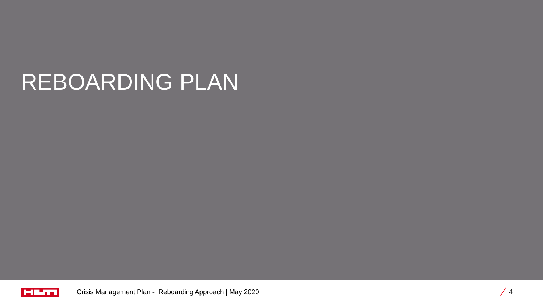# REBOARDING PLAN

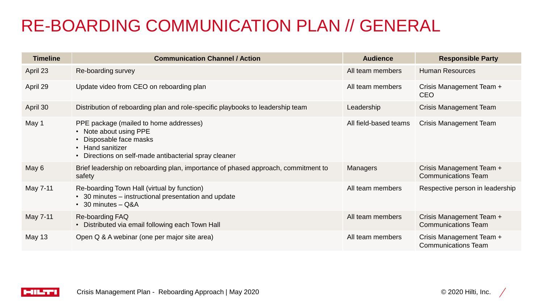# RE-BOARDING COMMUNICATION PLAN // GENERAL

| <b>Timeline</b> | <b>Communication Channel / Action</b>                                                                                                                                                | <b>Audience</b>       | <b>Responsible Party</b>                               |
|-----------------|--------------------------------------------------------------------------------------------------------------------------------------------------------------------------------------|-----------------------|--------------------------------------------------------|
| April 23        | Re-boarding survey                                                                                                                                                                   | All team members      | <b>Human Resources</b>                                 |
| April 29        | Update video from CEO on reboarding plan                                                                                                                                             | All team members      | Crisis Management Team +<br><b>CEO</b>                 |
| April 30        | Distribution of reboarding plan and role-specific playbooks to leadership team                                                                                                       | Leadership            | <b>Crisis Management Team</b>                          |
| May 1           | PPE package (mailed to home addresses)<br>Note about using PPE<br>Disposable face masks<br><b>Hand sanitizer</b><br>$\bullet$<br>Directions on self-made antibacterial spray cleaner | All field-based teams | <b>Crisis Management Team</b>                          |
| May 6           | Brief leadership on reboarding plan, importance of phased approach, commitment to<br>safety                                                                                          | <b>Managers</b>       | Crisis Management Team +<br><b>Communications Team</b> |
| May 7-11        | Re-boarding Town Hall (virtual by function)<br>• 30 minutes – instructional presentation and update<br>$\cdot$ 30 minutes $-$ Q&A                                                    | All team members      | Respective person in leadership                        |
| May 7-11        | Re-boarding FAQ<br>• Distributed via email following each Town Hall                                                                                                                  | All team members      | Crisis Management Team +<br><b>Communications Team</b> |
| May 13          | Open Q & A webinar (one per major site area)                                                                                                                                         | All team members      | Crisis Management Team +<br><b>Communications Team</b> |

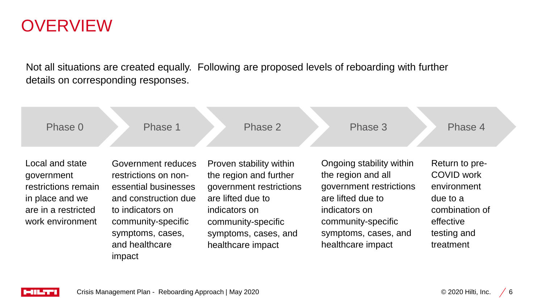## **OVERVIEW**

Not all situations are created equally. Following are proposed levels of reboarding with further details on corresponding responses.

| Phase 0                                                                                                            | Phase 1                                                                                                                                                                              | Phase 2                                                                                                                                                                               | Phase 3                                                                                                                                                                            | Phase 4                                                                                                                   |
|--------------------------------------------------------------------------------------------------------------------|--------------------------------------------------------------------------------------------------------------------------------------------------------------------------------------|---------------------------------------------------------------------------------------------------------------------------------------------------------------------------------------|------------------------------------------------------------------------------------------------------------------------------------------------------------------------------------|---------------------------------------------------------------------------------------------------------------------------|
| Local and state<br>government<br>restrictions remain<br>in place and we<br>are in a restricted<br>work environment | Government reduces<br>restrictions on non-<br>essential businesses<br>and construction due<br>to indicators on<br>community-specific<br>symptoms, cases,<br>and healthcare<br>impact | Proven stability within<br>the region and further<br>government restrictions<br>are lifted due to<br>indicators on<br>community-specific<br>symptoms, cases, and<br>healthcare impact | Ongoing stability within<br>the region and all<br>government restrictions<br>are lifted due to<br>indicators on<br>community-specific<br>symptoms, cases, and<br>healthcare impact | Return to pre-<br><b>COVID work</b><br>environment<br>due to a<br>combination of<br>effective<br>testing and<br>treatment |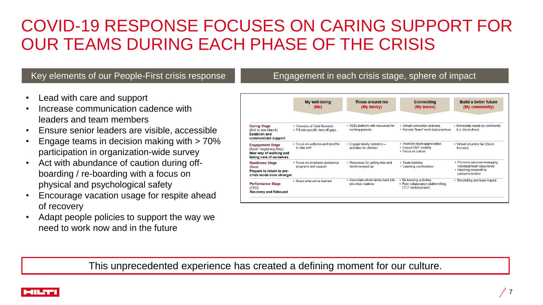# COVID-19 RESPONSE FOCUSES ON CARING SUPPORT FOR OUR TEAMS DURING EACH PHASE OF THE CRISIS

#### • Lead with care and support

- Increase communication cadence with leaders and team members
- Ensure senior leaders are visible, accessible
- Engage teams in decision making with > 70% participation in organization-wide survey
- Act with abundance of caution during offboarding / re-boarding with a focus on physical and psychological safety
- Encourage vacation usage for respite ahead of recovery
- Adapt people policies to support the way we need to work now and in the future

#### Key elements of our People-First crisis response Engagement in each crisis stage, sphere of impact

|                                                                                                          | My well-being<br>(Me)                                             | Those around me<br>(My family)                             | <b>Connecting</b><br>(My teams)                                                      | <b>Build a better future</b><br>(My community)                                                               |
|----------------------------------------------------------------------------------------------------------|-------------------------------------------------------------------|------------------------------------------------------------|--------------------------------------------------------------------------------------|--------------------------------------------------------------------------------------------------------------|
| <b>Caring Stage</b><br>(Mid to late March)<br>Establish and<br>communicate support                       | • Overview of Total Rewards<br>• Fill role-specific time-off gaps | • REDi platform with resources for<br>working parents      | • Virtual connection activities<br>• Remote "team" work best practices               | • Immediate needs by community<br>(i.e. blood drive)                                                         |
| <b>Engagement Stage</b><br>(April / beginning May)<br>New way of working and<br>taking care of ourselves | . Focus on wellness and benefits<br>to stav well                  | • Engage family members -<br>activities for children       | • Front line team appreciation<br>• Extend EMT visibility<br>• Focus on culture      | • Virtual volunteer fair (future<br>focused)                                                                 |
| <b>Readiness Stage</b><br>(Now)<br>Prepare to return to pre-<br>crisis mode even stronger                | • Focus on employee assistance<br>programs and support            | • Resources for getting kids and<br>family ramped up       | • Team building<br>• Learning communities                                            | • Pro-bono services leveraging<br>individual/team experience<br>• Matching nonprofit to<br>partner/volunteer |
| <b>Performance Stage</b><br>(TBD)<br>Recovery and Rebound                                                | · Share what we've learned                                        | • Assimilate whole family back into<br>pre-crisis routines | • Re-bonding activities<br>• Peer collaboration platform/blog<br>(TC7 reinforcement) | • Storytelling and team impact                                                                               |

This unprecedented experience has created a defining moment for our culture.

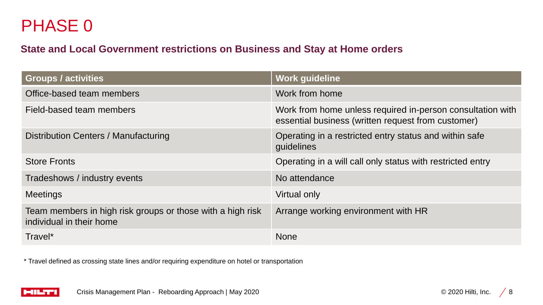# PHASE 0

## **State and Local Government restrictions on Business and Stay at Home orders**

| <b>Groups / activities</b>                                                             | <b>Work guideline</b>                                                                                            |
|----------------------------------------------------------------------------------------|------------------------------------------------------------------------------------------------------------------|
| Office-based team members                                                              | Work from home                                                                                                   |
| Field-based team members                                                               | Work from home unless required in-person consultation with<br>essential business (written request from customer) |
| <b>Distribution Centers / Manufacturing</b>                                            | Operating in a restricted entry status and within safe<br>guidelines                                             |
| <b>Store Fronts</b>                                                                    | Operating in a will call only status with restricted entry                                                       |
| Tradeshows / industry events                                                           | No attendance                                                                                                    |
| <b>Meetings</b>                                                                        | Virtual only                                                                                                     |
| Team members in high risk groups or those with a high risk<br>individual in their home | Arrange working environment with HR                                                                              |
| Travel*                                                                                | <b>None</b>                                                                                                      |

\* Travel defined as crossing state lines and/or requiring expenditure on hotel or transportation

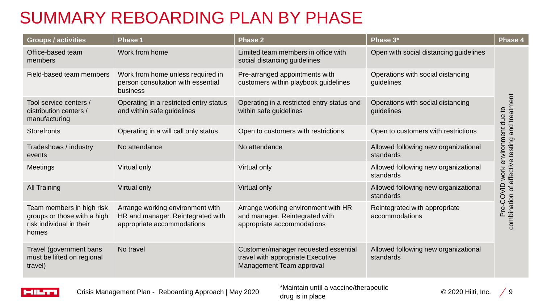# SUMMARY REBOARDING PLAN BY PHASE

| Groups / activities                                                                           | <b>Phase 1</b>                                                                                      | <b>Phase 2</b>                                                                                        | Phase 3*                                          | Phase 4                                        |
|-----------------------------------------------------------------------------------------------|-----------------------------------------------------------------------------------------------------|-------------------------------------------------------------------------------------------------------|---------------------------------------------------|------------------------------------------------|
| Office-based team<br>members                                                                  | Work from home                                                                                      | Limited team members in office with<br>social distancing guidelines                                   | Open with social distancing guidelines            |                                                |
| Field-based team members                                                                      | Work from home unless required in<br>person consultation with essential<br>business                 | Pre-arranged appointments with<br>customers within playbook guidelines                                | Operations with social distancing<br>guidelines   |                                                |
| Tool service centers /<br>distribution centers /<br>manufacturing                             | Operating in a restricted entry status<br>and within safe guidelines                                | Operating in a restricted entry status and<br>within safe guidelines                                  | Operations with social distancing<br>quidelines   | combination of effective testing and treatment |
| <b>Storefronts</b>                                                                            | Operating in a will call only status                                                                | Open to customers with restrictions                                                                   | Open to customers with restrictions               |                                                |
| Tradeshows / industry<br>events                                                               | No attendance                                                                                       | No attendance                                                                                         | Allowed following new organizational<br>standards | environment due to                             |
| Meetings                                                                                      | Virtual only                                                                                        | Virtual only                                                                                          | Allowed following new organizational<br>standards | work                                           |
| <b>All Training</b>                                                                           | Virtual only                                                                                        | Virtual only                                                                                          | Allowed following new organizational<br>standards | Pre-COVID                                      |
| Team members in high risk<br>groups or those with a high<br>risk individual in their<br>homes | Arrange working environment with<br>HR and manager. Reintegrated with<br>appropriate accommodations | Arrange working environment with HR<br>and manager. Reintegrated with<br>appropriate accommodations   | Reintegrated with appropriate<br>accommodations   |                                                |
| Travel (government bans<br>must be lifted on regional<br>travel)                              | No travel                                                                                           | Customer/manager requested essential<br>travel with appropriate Executive<br>Management Team approval | Allowed following new organizational<br>standards |                                                |



\*Maintain until a vaccine/therapeutic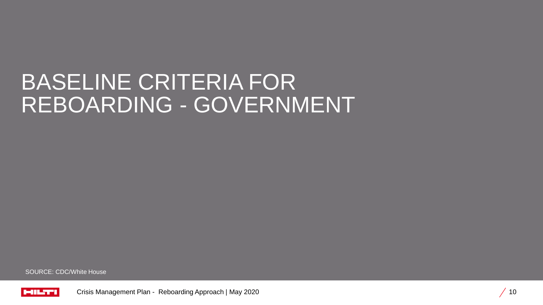# BASELINE CRITERIA FOR REBOARDING - GOVERNMENT

SOURCE: CDC/White House

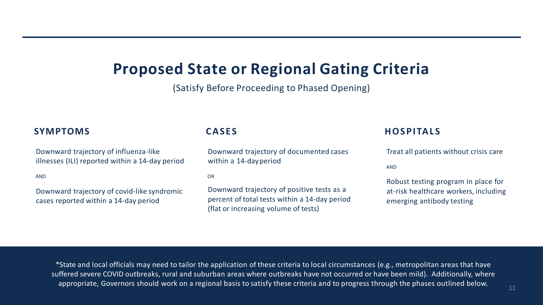## **Proposed State or Regional Gating Criteria**

(Satisfy Before Proceeding to Phased Opening)

#### **SYMPTOMS**

Downward trajectory of influenza-like illnesses (ILI) reported within a 14-day period

AND

Downward trajectory of covid-like syndromic cases reported within a 14-day period

### **C A S E S**

Downward trajectory of documented cases within a 14-dayperiod

OR

Downward trajectory of positive tests as a percent of total tests within a 14-day period (flat or increasing volume of tests)

#### **H O S P I TA L S**

Treat all patients without crisis care

AND

Robust testing program in place for at-risk healthcare workers, including emerging antibody testing

\*State and local officials may need to tailor the application of these criteria to local circumstances (e.g., metropolitan areas that have suffered severe COVID outbreaks, rural and suburban areas where outbreaks have not occurred or have been mild). Additionally, where appropriate, Governors should work on a regional basis to satisfy these criteria and to progress through the phases outlined below.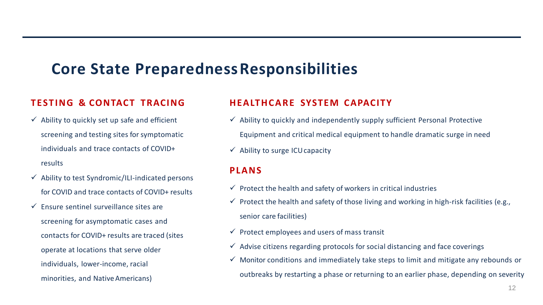## **Core State PreparednessResponsibilities**

### **T EST I NG & CONTACT TRACING**

- $\checkmark$  Ability to quickly set up safe and efficient screening and testing sites for symptomatic individuals and trace contacts of COVID+ results
- $\checkmark$  Ability to test Syndromic/ILI-indicated persons for COVID and trace contacts of COVID+ results
- $\checkmark$  Ensure sentinel surveillance sites are screening for asymptomatic cases and contacts for COVID+ results are traced (sites operate at locations that serve older individuals, lower-income, racial minorities, and NativeAmericans)

### **H EALT H C A R E SYSTEM CAPACITY**

- $\checkmark$  Ability to quickly and independently supply sufficient Personal Protective Equipment and critical medical equipment to handle dramatic surge in need
- $\checkmark$  Ability to surge ICU capacity

### **PLANS**

- $\checkmark$  Protect the health and safety of workers in critical industries
- $\checkmark$  Protect the health and safety of those living and working in high-risk facilities (e.g., senior care facilities)
- $\checkmark$  Protect employees and users of mass transit
- $\checkmark$  Advise citizens regarding protocols for social distancing and face coverings
- $\checkmark$  Monitor conditions and immediately take steps to limit and mitigate any rebounds or outbreaks by restarting a phase or returning to an earlier phase, depending on severity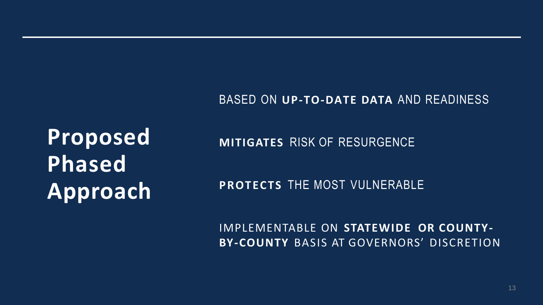BASED ON **UP-TO-DATE DATA** AND READINESS

**Proposed Phased Approach**

**MITIGATES** RISK OF RESURGENCE

**PROTECTS THE MOST VULNERABLE** 

IMPLEMENTABLE ON **STATEWIDE OR COUNTY-BY-COUNTY** BASIS AT GOVERNORS' DISCRETION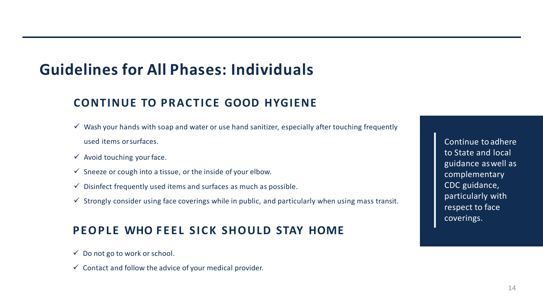## **Guidelines for All Phases: Individuals**

## **CONTINUE TO PRACTICE GOOD HYGIENE**

- $\checkmark$  Wash your hands with soap and water or use hand sanitizer, especially after touching frequently used items orsurfaces.
- $\checkmark$  Avoid touching your face.
- $\checkmark$  Sneeze or cough into a tissue, or the inside of your elbow.
- $\checkmark$  Disinfect frequently used items and surfaces as much as possible.
- $\checkmark$  Strongly consider using face coverings while in public, and particularly when using mass transit.

## **PEOPLE WHO FEEL SICK SHOULD STAY HOME**

- $\checkmark$  Do not go to work or school.
- $\checkmark$  Contact and follow the advice of your medical provider.

Continue to adhere to State and local guidance aswell as complementary CDC guidance, particularly with respect to face coverings.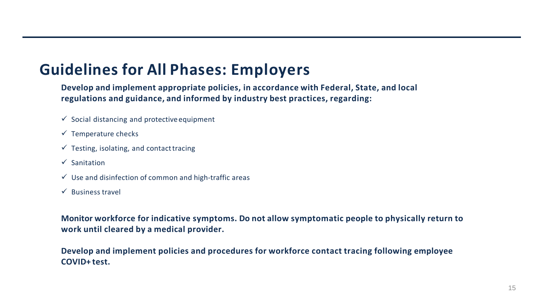## **Guidelines for All Phases: Employers**

**Develop and implement appropriate policies, in accordance with Federal, State, and local regulations and guidance, and informed by industry best practices, regarding:**

- $\checkmark$  Social distancing and protective equipment
- $\checkmark$  Temperature checks
- $\checkmark$  Testing, isolating, and contact tracing
- ✓ Sanitation
- $\checkmark$  Use and disinfection of common and high-traffic areas
- $\checkmark$  Business travel

**Monitor workforce for indicative symptoms. Do not allow symptomatic people to physically return to work until cleared by a medical provider.**

**Develop and implement policies and procedures for workforce contact tracing following employee COVID+ test.**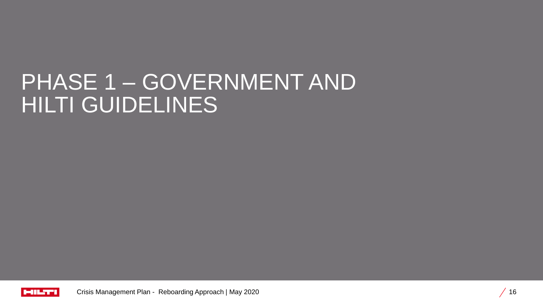# PHASE 1 – GOVERNMENT AND HILTI GUIDELINES

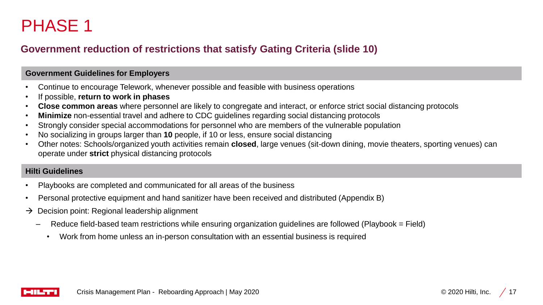# PHASE 1

### **Government reduction of restrictions that satisfy Gating Criteria (slide 10)**

#### **Government Guidelines for Employers**

- Continue to encourage Telework, whenever possible and feasible with business operations
- If possible, **return to work in phases**
- **Close common areas** where personnel are likely to congregate and interact, or enforce strict social distancing protocols
- **Minimize** non-essential travel and adhere to CDC guidelines regarding social distancing protocols
- Strongly consider special accommodations for personnel who are members of the vulnerable population
- No socializing in groups larger than **10** people, if 10 or less, ensure social distancing
- Other notes: Schools/organized youth activities remain **closed**, large venues (sit-down dining, movie theaters, sporting venues) can operate under **strict** physical distancing protocols

#### **Hilti Guidelines**

- Playbooks are completed and communicated for all areas of the business
- Personal protective equipment and hand sanitizer have been received and distributed (Appendix B)
- $\rightarrow$  Decision point: Regional leadership alignment
	- Reduce field-based team restrictions while ensuring organization guidelines are followed (Playbook = Field)
		- Work from home unless an in-person consultation with an essential business is required

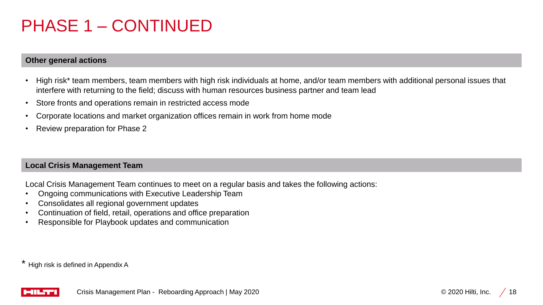# PHASE 1 – CONTINUED

#### **Other general actions**

- High risk\* team members, team members with high risk individuals at home, and/or team members with additional personal issues that interfere with returning to the field; discuss with human resources business partner and team lead
- Store fronts and operations remain in restricted access mode
- Corporate locations and market organization offices remain in work from home mode
- Review preparation for Phase 2

#### **Local Crisis Management Team**

Local Crisis Management Team continues to meet on a regular basis and takes the following actions:

- Ongoing communications with Executive Leadership Team
- Consolidates all regional government updates
- Continuation of field, retail, operations and office preparation
- Responsible for Playbook updates and communication

\* High risk is defined in Appendix A

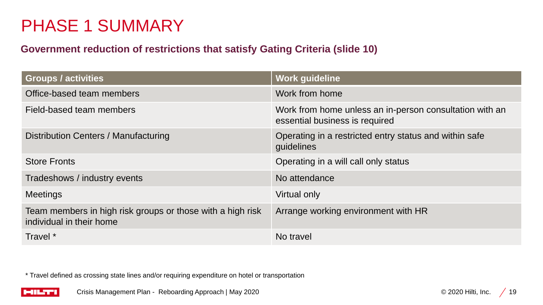# PHASE 1 SUMMARY

## **Government reduction of restrictions that satisfy Gating Criteria (slide 10)**

| <b>Groups / activities</b>                                                             | <b>Work guideline</b>                                                                     |
|----------------------------------------------------------------------------------------|-------------------------------------------------------------------------------------------|
| Office-based team members                                                              | Work from home                                                                            |
| Field-based team members                                                               | Work from home unless an in-person consultation with an<br>essential business is required |
| Distribution Centers / Manufacturing                                                   | Operating in a restricted entry status and within safe<br>guidelines                      |
| <b>Store Fronts</b>                                                                    | Operating in a will call only status                                                      |
| Tradeshows / industry events                                                           | No attendance                                                                             |
| <b>Meetings</b>                                                                        | Virtual only                                                                              |
| Team members in high risk groups or those with a high risk<br>individual in their home | Arrange working environment with HR                                                       |
| Travel *                                                                               | No travel                                                                                 |

\* Travel defined as crossing state lines and/or requiring expenditure on hotel or transportation

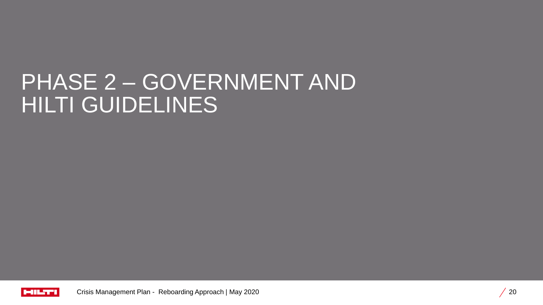# PHASE 2 – GOVERNMENT AND HILTI GUIDELINES

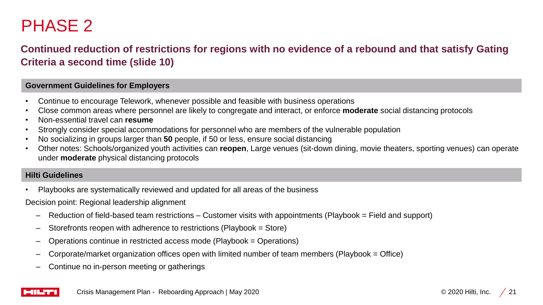# PHASE 2

## **Continued reduction of restrictions for regions with no evidence of a rebound and that satisfy Gating Criteria a second time (slide 10)**

#### **Government Guidelines for Employers**

- Continue to encourage Telework, whenever possible and feasible with business operations
- Close common areas where personnel are likely to congregate and interact, or enforce **moderate** social distancing protocols
- Non-essential travel can **resume**
- Strongly consider special accommodations for personnel who are members of the vulnerable population
- No socializing in groups larger than **50** people, if 50 or less, ensure social distancing
- Other notes: Schools/organized youth activities can **reopen**, Large venues (sit-down dining, movie theaters, sporting venues) can operate under **moderate** physical distancing protocols

#### **Hilti Guidelines**

• Playbooks are systematically reviewed and updated for all areas of the business

Decision point: Regional leadership alignment

- Reduction of field-based team restrictions Customer visits with appointments (Playbook = Field and support)
- Storefronts reopen with adherence to restrictions (Playbook = Store)
- Operations continue in restricted access mode (Playbook = Operations)
- Corporate/market organization offices open with limited number of team members (Playbook = Office)
- Continue no in-person meeting or gatherings

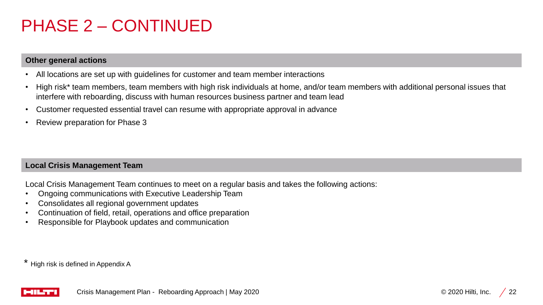# PHASE 2 – CONTINUED

#### **Other general actions**

- All locations are set up with guidelines for customer and team member interactions
- High risk\* team members, team members with high risk individuals at home, and/or team members with additional personal issues that interfere with reboarding, discuss with human resources business partner and team lead
- Customer requested essential travel can resume with appropriate approval in advance
- Review preparation for Phase 3

#### **Local Crisis Management Team**

Local Crisis Management Team continues to meet on a regular basis and takes the following actions:

- Ongoing communications with Executive Leadership Team
- Consolidates all regional government updates
- Continuation of field, retail, operations and office preparation
- Responsible for Playbook updates and communication

\* High risk is defined in Appendix A

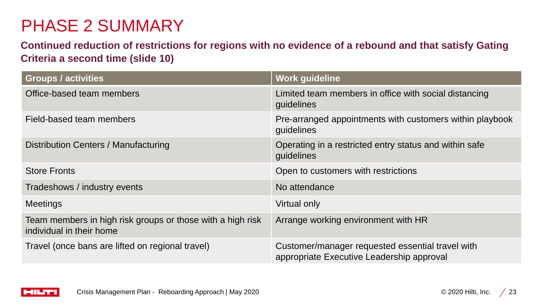# PHASE 2 SUMMARY

**Continued reduction of restrictions for regions with no evidence of a rebound and that satisfy Gating Criteria a second time (slide 10)** 

| <b>Groups / activities</b>                                                             | <b>Work guideline</b>                                                                         |
|----------------------------------------------------------------------------------------|-----------------------------------------------------------------------------------------------|
| Office-based team members                                                              | Limited team members in office with social distancing<br>guidelines                           |
| Field-based team members                                                               | Pre-arranged appointments with customers within playbook<br>guidelines                        |
| Distribution Centers / Manufacturing                                                   | Operating in a restricted entry status and within safe<br>guidelines                          |
| <b>Store Fronts</b>                                                                    | Open to customers with restrictions                                                           |
| Tradeshows / industry events                                                           | No attendance                                                                                 |
| <b>Meetings</b>                                                                        | Virtual only                                                                                  |
| Team members in high risk groups or those with a high risk<br>individual in their home | Arrange working environment with HR                                                           |
| Travel (once bans are lifted on regional travel)                                       | Customer/manager requested essential travel with<br>appropriate Executive Leadership approval |

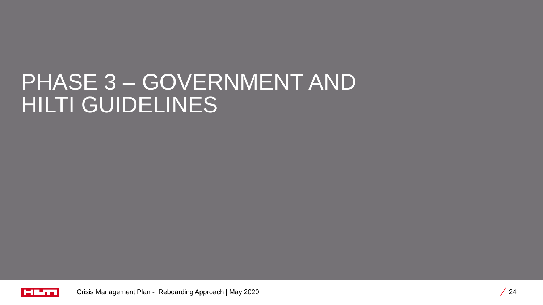# PHASE 3 – GOVERNMENT AND HILTI GUIDELINES

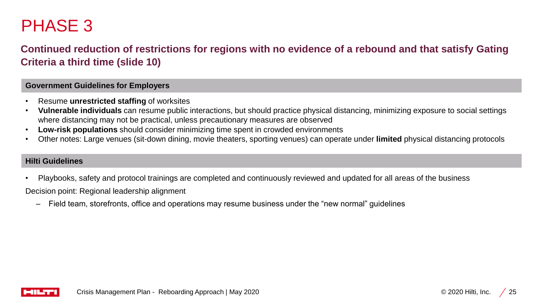# PHASE 3

## **Continued reduction of restrictions for regions with no evidence of a rebound and that satisfy Gating Criteria a third time (slide 10)**

#### **Government Guidelines for Employers**

- Resume **unrestricted staffing** of worksites
- **Vulnerable individuals** can resume public interactions, but should practice physical distancing, minimizing exposure to social settings where distancing may not be practical, unless precautionary measures are observed
- **Low-risk populations** should consider minimizing time spent in crowded environments
- Other notes: Large venues (sit-down dining, movie theaters, sporting venues) can operate under **limited** physical distancing protocols

#### **Hilti Guidelines**

• Playbooks, safety and protocol trainings are completed and continuously reviewed and updated for all areas of the business

Decision point: Regional leadership alignment

– Field team, storefronts, office and operations may resume business under the "new normal" guidelines

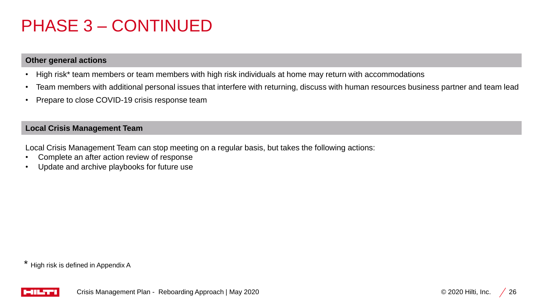# PHASE 3 – CONTINUED

#### **Other general actions**

- High risk\* team members or team members with high risk individuals at home may return with accommodations
- Team members with additional personal issues that interfere with returning, discuss with human resources business partner and team lead
- Prepare to close COVID-19 crisis response team

#### **Local Crisis Management Team**

Local Crisis Management Team can stop meeting on a regular basis, but takes the following actions:

- Complete an after action review of response
- Update and archive playbooks for future use

\* High risk is defined in Appendix A

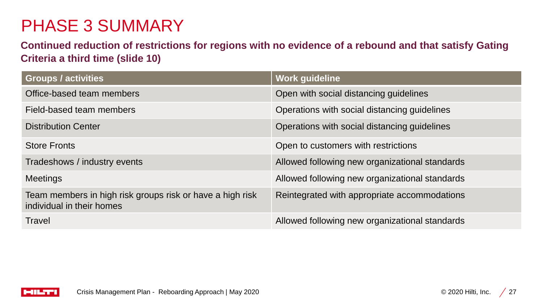# PHASE 3 SUMMARY

**Continued reduction of restrictions for regions with no evidence of a rebound and that satisfy Gating Criteria a third time (slide 10)** 

| <b>Groups / activities</b>                                                             | <b>Work guideline</b>                          |
|----------------------------------------------------------------------------------------|------------------------------------------------|
| Office-based team members                                                              | Open with social distancing guidelines         |
| Field-based team members                                                               | Operations with social distancing guidelines   |
| <b>Distribution Center</b>                                                             | Operations with social distancing guidelines   |
| <b>Store Fronts</b>                                                                    | Open to customers with restrictions            |
| Tradeshows / industry events                                                           | Allowed following new organizational standards |
| <b>Meetings</b>                                                                        | Allowed following new organizational standards |
| Team members in high risk groups risk or have a high risk<br>individual in their homes | Reintegrated with appropriate accommodations   |
| <b>Travel</b>                                                                          | Allowed following new organizational standards |

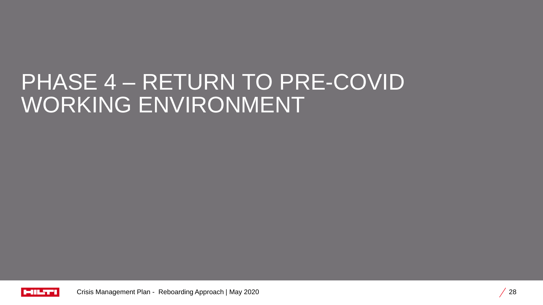# PHASE 4 – RETURN TO PRE-COVID WORKING ENVIRONMENT

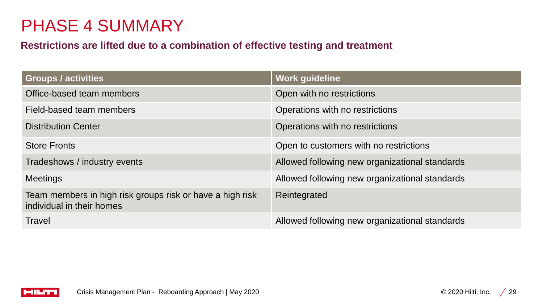# PHASE 4 SUMMARY

### **Restrictions are lifted due to a combination of effective testing and treatment**

| <b>Groups / activities</b>                                                             | <b>Work guideline</b>                          |
|----------------------------------------------------------------------------------------|------------------------------------------------|
| Office-based team members                                                              | Open with no restrictions                      |
| Field-based team members                                                               | Operations with no restrictions                |
| <b>Distribution Center</b>                                                             | Operations with no restrictions                |
| <b>Store Fronts</b>                                                                    | Open to customers with no restrictions         |
| Tradeshows / industry events                                                           | Allowed following new organizational standards |
| <b>Meetings</b>                                                                        | Allowed following new organizational standards |
| Team members in high risk groups risk or have a high risk<br>individual in their homes | Reintegrated                                   |
| <b>Travel</b>                                                                          | Allowed following new organizational standards |

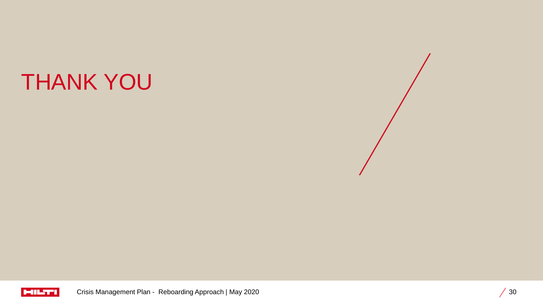# THANK YOU



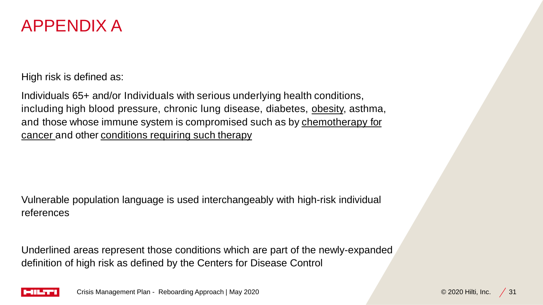

High risk is defined as:

Individuals 65+ and/or Individuals with serious underlying health conditions, including high blood pressure, chronic lung disease, diabetes, obesity, asthma, and those whose immune system is compromised such as by chemotherapy for cancer and other conditions requiring such therapy

Vulnerable population language is used interchangeably with high-risk individual references

Underlined areas represent those conditions which are part of the newly-expanded definition of high risk as defined by the Centers for Disease Control

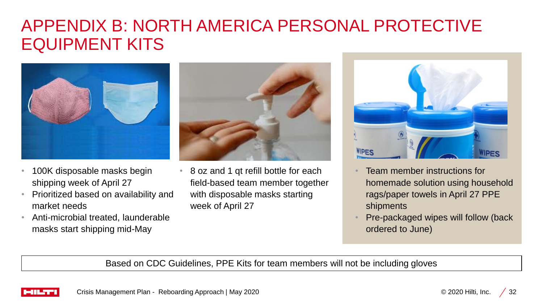# APPENDIX B: NORTH AMERICA PERSONAL PROTECTIVE EQUIPMENT KITS



- 100K disposable masks begin shipping week of April 27
- Prioritized based on availability and market needs
- Anti-microbial treated, launderable masks start shipping mid-May



• 8 oz and 1 qt refill bottle for each field-based team member together with disposable masks starting week of April 27



- Team member instructions for homemade solution using household rags/paper towels in April 27 PPE shipments
- Pre-packaged wipes will follow (back ordered to June)

Based on CDC Guidelines, PPE Kits for team members will not be including gloves

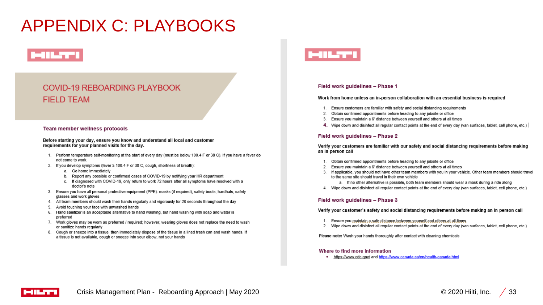# APPENDIX C: PLAYBOOKS

## **MILTER**

#### **COVID-19 REBOARDING PLAYBOOK FIELD TEAM**

#### Team member wellness protocols

Before starting your day, ensure you know and understand all local and customer requirements for your planned visits for the day.

- 1. Perform temperature self-monitoring at the start of every day (must be below 100.4 F or 38 C). If you have a fever do not come to work.
- 2. If you develop symptoms (fever ≥ 100.4 F or 38 C, cough, shortness of breath):
	- a. Go home immediately
	- b. Report any possible or confirmed cases of COVID-19 by notifying your HR department
	- c. If diagnosed with COVID-19, only return to work 72 hours after all symptoms have resolved with a doctor's note
- 3. Ensure you have all personal protective equipment (PPE): masks (if required), safety boots, hardhats, safety glasses and work gloves
- 4. All team members should wash their hands regularly and vigorously for 20 seconds throughout the day
- 5. Avoid touching your face with unwashed hands
- 6. Hand sanitizer is an acceptable alternative to hand washing, but hand washing with soap and water is preferred
- 7. Work gloves may be worn as preferred / required; however, wearing gloves does not replace the need to wash or sanitize hands regularly
- 8. Cough or sneeze into a tissue, then immediately dispose of the tissue in a lined trash can and wash hands. If a tissue is not available, cough or sneeze into your elbow, not your hands



#### Field work guidelines - Phase 1

Work from home unless an in-person collaboration with an essential business is required

- 1. Ensure customers are familiar with safety and social distancing requirements
- 2. Obtain confirmed appointments before heading to any jobsite or office
- 3. Ensure you maintain a 6' distance between yourself and others at all times
- 4. Wipe down and disinfect all regular contact points at the end of every day (van surfaces, tablet, cell phone, etc.)

#### Field work guidelines - Phase 2

Verify your customers are familiar with our safety and social distancing requirements before making an in-person call

- 1. Obtain confirmed appointments before heading to any jobsite or office
- 2. Ensure you maintain a 6' distance between yourself and others at all times
- 3. If applicable, you should not have other team members with you in your vehicle. Other team members should travel to the same site should travel in their own vehicle
	- a. If no other alternative is possible, both team members should wear a mask during a ride along
- 4. Wipe down and disinfect all regular contact points at the end of every day (van surfaces, tablet, cell phone, etc.)

#### Field work guidelines - Phase 3

Verify your customer's safety and social distancing requirements before making an in-person call

- 1. Ensure you maintain a safe distance between yourself and offers at all times
- 2. Wipe down and disinfect all regular contact points at the end of every day (van surfaces, tablet, cell phone, etc.)

Please note: Wash your hands thoroughly after contact with cleaning chemicals

#### Where to find more information

. https://www.cdc.gov/ and https://www.canada.ca/en/health-canada.html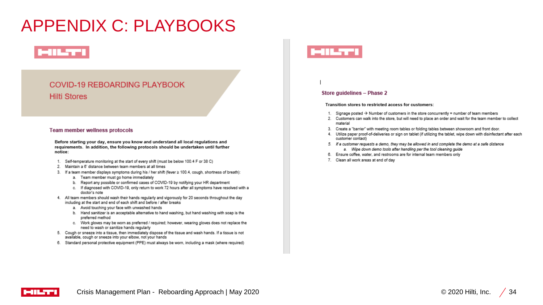# APPENDIX C: PLAYBOOKS

## **MILTER**

#### **COVID-19 REBOARDING PLAYBOOK Hilti Stores**

#### **Team member wellness protocols**

Before starting your day, ensure you know and understand all local regulations and requirements. In addition, the following protocols should be undertaken until further notice:

- 1. Self-temperature monitoring at the start of every shift (must be below 100.4 F or 38 C)
- 2. Maintain a 6' distance between team members at all times
- 3. If a team member displays symptoms during his / her shift (fever ≥ 100.4, cough, shortness of breath):
	- a. Team member must go home immediately
	- b. Report any possible or confirmed cases of COVID-19 by notifying your HR department
	- c. If diagnosed with COVID-19, only return to work 72 hours after all symptoms have resolved with a doctor's note
- 4. All team members should wash their hands regularly and vigorously for 20 seconds throughout the day including at the start and end of each shift and before / after breaks
	- a. Avoid touching your face with unwashed hands
	- b. Hand sanitizer is an acceptable alternative to hand washing, but hand washing with soap is the preferred method
	- c. Work gloves may be worn as preferred / required; however, wearing gloves does not replace the need to wash or sanitize hands regularly
- 5. Cough or sneeze into a tissue, then immediately dispose of the tissue and wash hands. If a tissue is not available, cough or sneeze into your elbow, not your hands
- 6. Standard personal protective equipment (PPE) must always be worn, including a mask (where required)

#### Store guidelines - Phase 2

Transition stores to restricted access for customers:

- 1. Signage posted  $\rightarrow$  Number of customers in the store concurrently = number of team members
- 2. Customers can walk into the store, but will need to place an order and wait for the team member to collect material
- 3. Create a "barrier" with meeting room tables or folding tables between showroom and front door.
- 4. Utilize paper proof-of-deliveries or sign on tablet (if utilizing the tablet, wipe down with disinfectant after each customer contact)
- 5. If a customer requests a demo, they may be allowed in and complete the demo at a safe distance
	- a. Wipe down demo tools after handling per the tool cleaning guide
- 6. Ensure coffee, water, and restrooms are for internal team members only
- 7. Clean all work areas at end of day

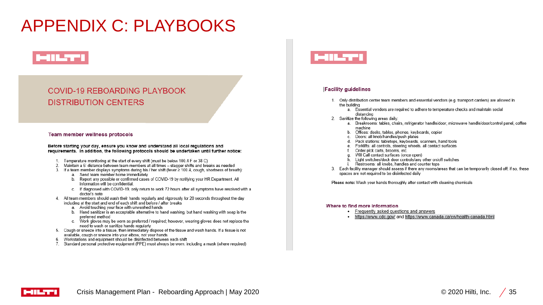# APPENDIX C: PLAYBOOKS

## **MILTI**

#### **COVID-19 REBOARDING PLAYBOOK DISTRIBUTION CENTERS**

#### Team member wellness protocols

Before starting your day, ensure you know and understand all local regulations and requirements. In addition, the following protocols should be undertaken until further notice:

- Temperature monitoring at the start of every shift (must be below 100.4 F or 38 C) 1
- Maintain a 6' distance between team members at all times stagger shifts and breaks as needed 2.
- 3. If a team member displays symptoms during his  $\prime$  her shift (fever  $\geq$  100.4, cough, shortness of breath):
	- a. Send team member home immediately
	- b. Report any possible or confirmed cases of COVID-19 by notifying your HR Department. All information will be confidential.
	- c. If diagnosed with COVID-19, only return to work 72 hours after all symptoms have resolved with a doctor's note
- 4. All team members should wash their hands regularly and vigorously for 20 seconds throughout the day including at the start and end of each shift and before / after breaks
	- a. Avoid touching your face with unwashed hands
	- b. Hand sanitizer is an acceptable alternative to hand washing, but hand washing with soap is the preferred method
	- c. Work gloves may be worn as preferred / required; however, wearing gloves does not replace the need to wash or sanitize hands regularly
- 5. Cough or sneeze into a tissue, then immediately dispose of the tissue and wash hands. If a tissue is not available, cough or sneeze into your elbow, not your hands
- 6. Workstations and equipment should be disinfected between each shift
- 7. Standard personal protective equipment (PPE) must always be worn, including a mask (where required)



#### **Facility guidelines**

- 1. Only distribution center team members and essential vendors (e.g. transport carriers) are allowed in the building
	- a. Essential vendors are required to adhere to temperature checks and maintain social distancing
- 2. Sanitize the following areas daily:
	- a. Breakrooms: tables, chairs, refrigerator handle/door, microwave handle/door/control panel, coffee machine
	- b. Offices: desks, tables, phones, keyboards, copier
	- c. Doors: all knob/handles/push plates
	- d. Pack stations: tabletops, keyboards, scanners, hand tools
	- Forklifts: all controls, steering wheels, all contact surfaces А
	- Order pick carts, brooms, etc.
	- Will Call contact surfaces (once open)
	- Light switches/dock door controls/any other on/off switches
	- Restrooms: all knobs, handles and counter tops
- 3. Each facility manager should assess if there any rooms/areas that can be temporarily closed off; if so, these spaces are not required to be disinfected daily

Please note: Wash your hands thoroughly after contact with cleaning chemicals

#### Where to find more information

- Frequently asked questions and answers
- . https://www.cdc.gov/ and https://www.canada.ca/en/health-canada.html

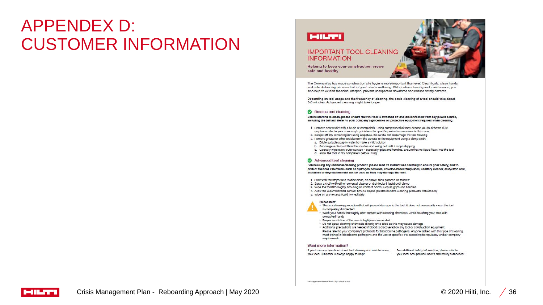## APPENDEX D: CUSTOMER INFORMATION



The Coronavirus has made construction site hygiene more important than ever. Clean tools, clean hands and safe distancing are essential for your crew's wellbeing. With routine cleaning and maintenance, you also help to extend the tools' lifespan, prevent unexpected downtime and reduce safety hazards.

Depending on tool usage and the frequency of cleaning, the basic cleaning of a tool should take about 2-3 minutes. Advanced cleaning might take longer.

#### Routine tool cleaning

Before starting to clean, please ensure that the tool is switched off and disconnected from any power source, Including the battery. Refer to your company's guidelines on protective equipment required when cleaning.

- 1. Remove coarse dirt with a brush or damp cloth. Using compressed air may expose you to airborne dust, so please refer to your company's guidelines for specific protective measures in this case
- 2. Scrape off any remaining dirt using a spatula. Be careful not to damage the tool housing
- 3. Remove grease or other residue from the surface of the equipment using a damp cloth:
- a. Dilute suitable soap in water to make a mild solution
- b. Submerge a clean cloth in the solution and wring out until it stops dripping
- c. Carefully wipe every outer surface especially grips and handles. Ensure that no liquid flows into the tool
- d. Allow the tool to dry completely before using

#### Advanced tool cleaning

Before using any chemical cleaning product, please read its instructions carefully to ensure your safety, and to protect the tool. Chemicals such as hydrogen peroxide, chlorine-based fungicides, sanitary cleaner, acid/citric acid, descalers or degreasers must not be used as they may damage the tool.

- 1. Start with the steps for a routine clean, as above, then proceed as follows:
- 2. Spray a cloth with either universal cleaner or disintectant liquid until damp
- 3. Wipe the tool thoroughly, focusing on contact points such as grips and handles
- 4. Allow the recommended contact time to elapse (as stated in the cleaning product's instructions)
- 5. Wipe off any excess liquid immediately

#### Please note:

. This is a cleaning procedure that will prevent damage to the tool. It does not necessarily mean the tool is completely disintected

- . Wash your hands thoroughly after contact with cleaning chemicals. Avoid touching your face with unwashed hands
- . Proper ventilation of the area is highly recommended
- . Do not spray cleaning chemicals directly onto tools as this may cause damage
- . Additional precautions are needed if blood is discovered on any tool or construction equipment. Please refer to your company's protocols for bloodborne pathogens. Anyone tasked with this type of cleaning must trained in bloodborne pathogens and the use of specific PPE according to regulatory and/or company requirements.

#### Want more information?

If you have any questions about tool cleaning and maintenance, For additional safety information, please refer to your local Hilti team is always happy to help:

your local occupational health and safety authorities:

Hill - registered trademark of Hills Corp., Scheam @ 3030

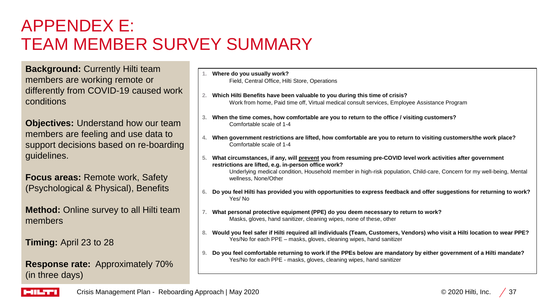# APPENDEX E: TEAM MEMBER SURVEY SUMMARY

**Background: Currently Hilti team** members are working remote or differently from COVID-19 caused work conditions

**Objectives:** Understand how our team members are feeling and use data to support decisions based on re-boarding guidelines.

**Focus areas:** Remote work, Safety (Psychological & Physical), Benefits

**Method:** Online survey to all Hilti team members

**Timing:** April 23 to 28

**Response rate:** Approximately 70% (in three days)

- **1. Where do you usually work?** Field, Central Office, Hilti Store, Operations
- **2. Which Hilti Benefits have been valuable to you during this time of crisis?** Work from home, Paid time off, Virtual medical consult services, Employee Assistance Program
- **3. When the time comes, how comfortable are you to return to the office / visiting customers?**  Comfortable scale of 1-4
- **4. When government restrictions are lifted, how comfortable are you to return to visiting customers/the work place?** Comfortable scale of 1-4
- **5. What circumstances, if any, will prevent you from resuming pre-COVID level work activities after government restrictions are lifted, e.g. in-person office work?**  Underlying medical condition, Household member in high-risk population, Child-care, Concern for my well-being, Mental

wellness, None/Other

- **6. Do you feel Hilti has provided you with opportunities to express feedback and offer suggestions for returning to work?**  Yes/ No
- **7. What personal protective equipment (PPE) do you deem necessary to return to work?** Masks, gloves, hand sanitizer, cleaning wipes, none of these, other
- **8. Would you feel safer if Hilti required all individuals (Team, Customers, Vendors) who visit a Hilti location to wear PPE?** Yes/No for each PPE – masks, gloves, cleaning wipes, hand sanitizer
- **9. Do you feel comfortable returning to work if the PPEs below are mandatory by either government of a Hilti mandate?** Yes/No for each PPE - masks, gloves, cleaning wipes, hand sanitizer